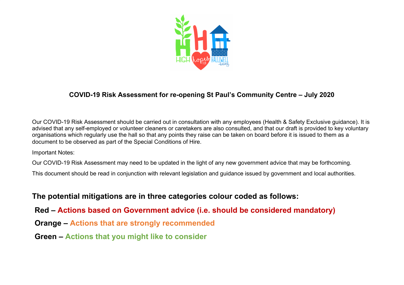

## **COVID-19 Risk Assessment for re-opening St Paul's Community Centre – July 2020**

Our COVID-19 Risk Assessment should be carried out in consultation with any employees (Health & Safety Exclusive guidance). It is advised that any self-employed or volunteer cleaners or caretakers are also consulted, and that our draft is provided to key voluntary organisations which regularly use the hall so that any points they raise can be taken on board before it is issued to them as a document to be observed as part of the Special Conditions of Hire.

Important Notes:

Our COVID-19 Risk Assessment may need to be updated in the light of any new government advice that may be forthcoming.

This document should be read in conjunction with relevant legislation and guidance issued by government and local authorities.

## **The potential mitigations are in three categories colour coded as follows:**

**Red – Actions based on Government advice (i.e. should be considered mandatory)**

**Orange – Actions that are strongly recommended**

**Green – Actions that you might like to consider**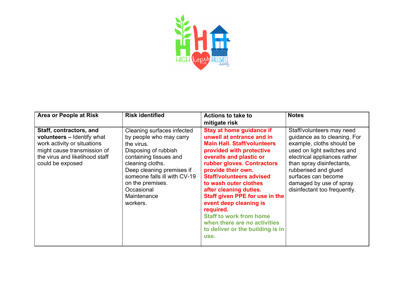

| <b>Area or People at Risk</b>                                                                                                                                             | <b>Risk identified</b>                                                                                                                                                                                                                                              | <b>Actions to take to</b><br>mitigate risk                                                                                                                                                                                                                                                                                                                                                                                                                                                 | <b>Notes</b>                                                                                                                                                                                                                                                                                |
|---------------------------------------------------------------------------------------------------------------------------------------------------------------------------|---------------------------------------------------------------------------------------------------------------------------------------------------------------------------------------------------------------------------------------------------------------------|--------------------------------------------------------------------------------------------------------------------------------------------------------------------------------------------------------------------------------------------------------------------------------------------------------------------------------------------------------------------------------------------------------------------------------------------------------------------------------------------|---------------------------------------------------------------------------------------------------------------------------------------------------------------------------------------------------------------------------------------------------------------------------------------------|
| Staff, contractors, and<br>volunteers - Identify what<br>work activity or situations<br>might cause transmission of<br>the virus and likelihood staff<br>could be exposed | Cleaning surfaces infected<br>by people who may carry<br>the virus.<br>Disposing of rubbish<br>containing tissues and<br>cleaning cloths.<br>Deep cleaning premises if<br>someone falls ill with CV-19<br>on the premises.<br>Occasional<br>Maintenance<br>workers. | <b>Stay at home guidance if</b><br>unwell at entrance and in<br><b>Main Hall. Staff/volunteers</b><br>provided with protective<br>overalls and plastic or<br>rubber gloves. Contractors<br>provide their own.<br><b>Staff/volunteers advised</b><br>to wash outer clothes<br>after cleaning duties.<br>Staff given PPE for use in the<br>event deep cleaning is<br>required.<br><b>Staff to work from home</b><br>when there are no activities<br>to deliver or the building is in<br>use. | Staff/volunteers may need<br>guidance as to cleaning. For<br>example, cloths should be<br>used on light switches and<br>electrical appliances rather<br>than spray disinfectants,<br>rubberised and glued<br>surfaces can become<br>damaged by use of spray<br>disinfectant too frequently. |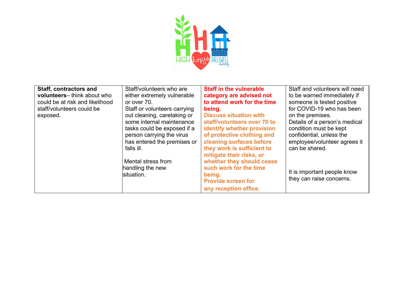

| <b>Staff, contractors and</b>   | Staff/volunteers who are     | <b>Staff in the vulnerable</b>    | Staff and volunteers will need |
|---------------------------------|------------------------------|-----------------------------------|--------------------------------|
| volunteers-think about who      | either extremely vulnerable  | category are advised not          | to be warned immediately if    |
| could be at risk and likelihood | or over 70.                  | to attend work for the time       | someone is tested positive     |
| staff/volunteers could be       | Staff or volunteers carrying | being.                            | for COVID-19 who has been      |
| exposed.                        | out cleaning, caretaking or  | <b>Discuss situation with</b>     | on the premises.               |
|                                 | some internal maintenance    | staff/volunteers over 70 to       | Details of a person's medical  |
|                                 | tasks could be exposed if a  | <b>identify whether provision</b> | condition must be kept         |
|                                 | person carrying the virus    | of protective clothing and        | confidential, unless the       |
|                                 | has entered the premises or  | cleaning surfaces before          | employee/volunteer agrees it   |
|                                 | falls ill.                   | they work is sufficient to        | can be shared.                 |
|                                 |                              | mitigate their risks, or          |                                |
|                                 | Mental stress from           | whether they should cease         |                                |
|                                 | handling the new             | such work for the time            |                                |
|                                 | situation.                   | being.                            | It is important people know    |
|                                 |                              | <b>Provide screen for</b>         | they can raise concerns.       |
|                                 |                              | any reception office.             |                                |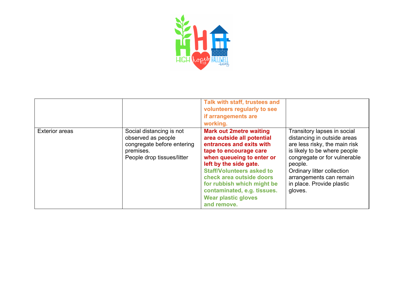

|                       |                                                                                                                         | Talk with staff, trustees and<br>volunteers regularly to see<br>if arrangements are<br>working.                                                                                                                                                                                                                                                     |                                                                                                                                                                                                                                                                         |
|-----------------------|-------------------------------------------------------------------------------------------------------------------------|-----------------------------------------------------------------------------------------------------------------------------------------------------------------------------------------------------------------------------------------------------------------------------------------------------------------------------------------------------|-------------------------------------------------------------------------------------------------------------------------------------------------------------------------------------------------------------------------------------------------------------------------|
| <b>Exterior areas</b> | Social distancing is not<br>observed as people<br>congregate before entering<br>premises.<br>People drop tissues/litter | <b>Mark out 2metre waiting</b><br>area outside all potential<br>entrances and exits with<br>tape to encourage care<br>when queueing to enter or<br>left by the side gate.<br><b>Staff/Volunteers asked to</b><br>check area outside doors<br>for rubbish which might be<br>contaminated, e.g. tissues.<br><b>Wear plastic gloves</b><br>and remove. | Transitory lapses in social<br>distancing in outside areas<br>are less risky, the main risk<br>is likely to be where people<br>congregate or for vulnerable<br>people.<br>Ordinary litter collection<br>arrangements can remain<br>in place. Provide plastic<br>gloves. |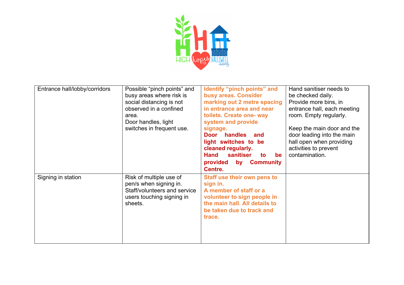

| Entrance hall/lobby/corridors | Possible "pinch points" and<br>busy areas where risk is<br>social distancing is not<br>observed in a confined<br>area.<br>Door handles, light<br>switches in frequent use. | Identify "pinch points" and<br>busy areas. Consider<br>marking out 2 metre spacing<br>in entrance area and near<br>toilets. Create one- way<br>system and provide<br>signage.<br>handles<br>Door<br>and<br>light switches to be<br>cleaned regularly.<br><b>Hand</b><br>sanitiser<br>to<br><b>be</b> | Hand sanitiser needs to<br>be checked daily.<br>Provide more bins, in<br>entrance hall, each meeting<br>room. Empty regularly.<br>Keep the main door and the<br>door leading into the main<br>hall open when providing<br>activities to prevent<br>contamination. |
|-------------------------------|----------------------------------------------------------------------------------------------------------------------------------------------------------------------------|------------------------------------------------------------------------------------------------------------------------------------------------------------------------------------------------------------------------------------------------------------------------------------------------------|-------------------------------------------------------------------------------------------------------------------------------------------------------------------------------------------------------------------------------------------------------------------|
|                               |                                                                                                                                                                            | provided by Community<br>Centre.                                                                                                                                                                                                                                                                     |                                                                                                                                                                                                                                                                   |
| Signing in station            | Risk of multiple use of<br>pen/s when signing in.<br>Staff/volunteers and service<br>users touching signing in<br>sheets.                                                  | <b>Staff use their own pens to</b><br>sign in.<br>A member of staff or a<br>volunteer to sign people in<br>the main hall. All details to<br>be taken due to track and<br>trace.                                                                                                                      |                                                                                                                                                                                                                                                                   |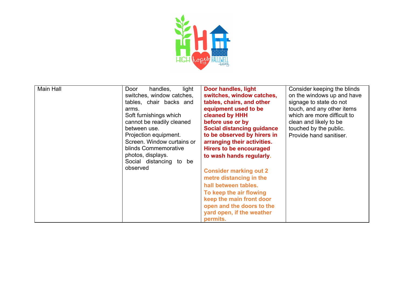

| Main Hall | light<br>Door<br>handles,  | Door handles, light               | Consider keeping the blinds |
|-----------|----------------------------|-----------------------------------|-----------------------------|
|           | switches, window catches,  | switches, window catches,         | on the windows up and have  |
|           | tables, chair backs and    | tables, chairs, and other         | signage to state do not     |
|           |                            |                                   |                             |
|           | arms.                      | equipment used to be              | touch, and any other items  |
|           | Soft furnishings which     | cleaned by HHH                    | which are more difficult to |
|           | cannot be readily cleaned  | before use or by                  | clean and likely to be      |
|           | between use.               | <b>Social distancing guidance</b> | touched by the public.      |
|           | Projection equipment.      | to be observed by hirers in       | Provide hand sanitiser.     |
|           | Screen. Window curtains or | arranging their activities.       |                             |
|           | blinds Commemorative       | <b>Hirers to be encouraged</b>    |                             |
|           | photos, displays.          |                                   |                             |
|           |                            | to wash hands regularly.          |                             |
|           | Social distancing to be    |                                   |                             |
|           | observed                   | <b>Consider marking out 2</b>     |                             |
|           |                            | metre distancing in the           |                             |
|           |                            | hall between tables.              |                             |
|           |                            | To keep the air flowing           |                             |
|           |                            | keep the main front door          |                             |
|           |                            | open and the doors to the         |                             |
|           |                            | yard open, if the weather         |                             |
|           |                            |                                   |                             |
|           |                            | permits.                          |                             |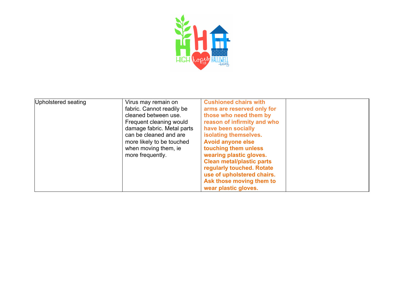

| Upholstered seating | Virus may remain on<br>fabric. Cannot readily be<br>cleaned between use.<br>Frequent cleaning would<br>damage fabric. Metal parts<br>can be cleaned and are<br>more likely to be touched<br>when moving them, ie<br>more frequently. | <b>Cushioned chairs with</b><br>arms are reserved only for<br>those who need them by<br>reason of infirmity and who<br>have been socially<br>isolating themselves.<br><b>Avoid anyone else</b><br>touching them unless<br>wearing plastic gloves.<br><b>Clean metal/plastic parts</b><br>regularly touched. Rotate<br>use of upholstered chairs.<br>Ask those moving them to |  |
|---------------------|--------------------------------------------------------------------------------------------------------------------------------------------------------------------------------------------------------------------------------------|------------------------------------------------------------------------------------------------------------------------------------------------------------------------------------------------------------------------------------------------------------------------------------------------------------------------------------------------------------------------------|--|
|                     |                                                                                                                                                                                                                                      | wear plastic gloves.                                                                                                                                                                                                                                                                                                                                                         |  |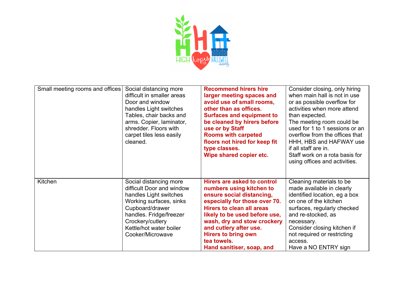

| Small meeting rooms and offices | Social distancing more<br>difficult in smaller areas<br>Door and window<br>handles Light switches<br>Tables, chair backs and<br>arms. Copier, laminator,<br>shredder. Floors with<br>carpet tiles less easily<br>cleaned. | <b>Recommend hirers hire</b><br>larger meeting spaces and<br>avoid use of small rooms,<br>other than as offices.<br><b>Surfaces and equipment to</b><br>be cleaned by hirers before<br>use or by Staff<br><b>Rooms with carpeted</b><br>floors not hired for keep fit<br>type classes.<br>Wipe shared copier etc.             | Consider closing, only hiring<br>when main hall is not in use<br>or as possible overflow for<br>activities when more attend<br>than expected.<br>The meeting room could be<br>used for 1 to 1 sessions or an<br>overflow from the offices that<br>HHH, HBS and HAFWAY use<br>if all staff are in.<br>Staff work on a rota basis for<br>using offices and activities. |
|---------------------------------|---------------------------------------------------------------------------------------------------------------------------------------------------------------------------------------------------------------------------|-------------------------------------------------------------------------------------------------------------------------------------------------------------------------------------------------------------------------------------------------------------------------------------------------------------------------------|----------------------------------------------------------------------------------------------------------------------------------------------------------------------------------------------------------------------------------------------------------------------------------------------------------------------------------------------------------------------|
| Kitchen                         | Social distancing more<br>difficult Door and window<br>handles Light switches<br>Working surfaces, sinks<br>Cupboard/drawer<br>handles. Fridge/freezer<br>Crockery/cutlery<br>Kettle/hot water boiler<br>Cooker/Microwave | Hirers are asked to control<br>numbers using kitchen to<br>ensure social distancing,<br>especially for those over 70.<br><b>Hirers to clean all areas</b><br>likely to be used before use,<br>wash, dry and stow crockery<br>and cutlery after use.<br><b>Hirers to bring own</b><br>tea towels.<br>Hand sanitiser, soap, and | Cleaning materials to be<br>made available in clearly<br>identified location, eg a box<br>on one of the kitchen<br>surfaces, regularly checked<br>and re-stocked, as<br>necessary.<br>Consider closing kitchen if<br>not required or restricting<br>access.<br>Have a NO ENTRY sign                                                                                  |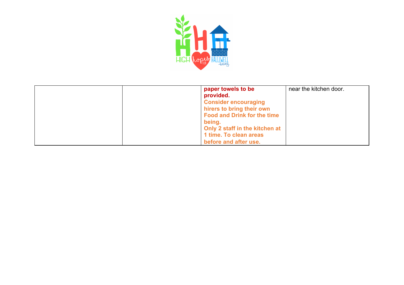

| paper towels to be<br>provided.<br><b>Consider encouraging</b><br>hirers to bring their own<br><b>Food and Drink for the time</b> | near the kitchen door. |
|-----------------------------------------------------------------------------------------------------------------------------------|------------------------|
| being.<br>Only 2 staff in the kitchen at<br>1 time. To clean areas<br>before and after use.                                       |                        |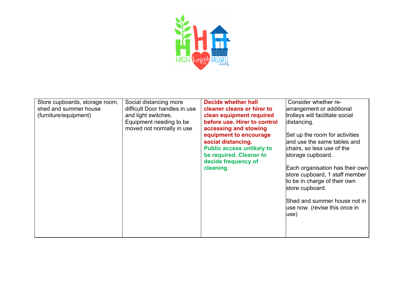

| Store cupboards, storage room, | Social distancing more        | <b>Decide whether hall</b>       | Consider whether re-            |
|--------------------------------|-------------------------------|----------------------------------|---------------------------------|
| shed and summer house          | difficult Door handles in use | cleaner cleans or hirer to       | arrangement or additional       |
| (furniture/equipment)          | and light switches.           | clean equipment required         | trolleys will facilitate social |
|                                | Equipment needing to be       | before use. Hirer to control     | distancing.                     |
|                                | moved not normally in use     | accessing and stowing            |                                 |
|                                |                               | equipment to encourage           | Set up the room for activities  |
|                                |                               | social distancing.               | and use the same tables and     |
|                                |                               | <b>Public access unlikely to</b> | chairs, so less use of the      |
|                                |                               | be required. Cleaner to          | storage cupboard.               |
|                                |                               | decide frequency of              |                                 |
|                                |                               | cleaning.                        | Each organisation has their own |
|                                |                               |                                  | store cupboard, 1 staff member  |
|                                |                               |                                  | to be in charge of their own    |
|                                |                               |                                  | store cupboard.                 |
|                                |                               |                                  |                                 |
|                                |                               |                                  | Shed and summer house not in    |
|                                |                               |                                  | use now. (revise this once in   |
|                                |                               |                                  | use)                            |
|                                |                               |                                  |                                 |
|                                |                               |                                  |                                 |
|                                |                               |                                  |                                 |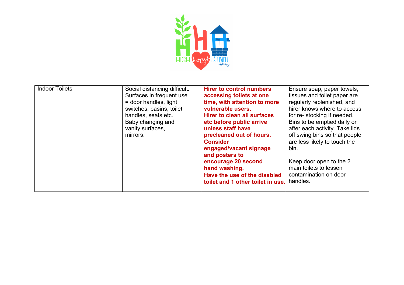

| <b>Indoor Toilets</b> | Social distancing difficult.<br>Surfaces in frequent use<br>= door handles, light<br>switches, basins, toilet<br>handles, seats etc.<br>Baby changing and<br>vanity surfaces,<br>mirrors. | <b>Hirer to control numbers</b><br>accessing toilets at one<br>time, with attention to more<br>vulnerable users.<br>Hirer to clean all surfaces<br>etc before public arrive<br>unless staff have<br>precleaned out of hours.<br><b>Consider</b><br>engaged/vacant signage<br>and posters to<br>encourage 20 second<br>hand washing.<br>Have the use of the disabled<br>toilet and 1 other toilet in use. | Ensure soap, paper towels,<br>tissues and toilet paper are<br>regularly replenished, and<br>hirer knows where to access<br>for re-stocking if needed.<br>Bins to be emptied daily or<br>after each activity. Take lids<br>off swing bins so that people<br>are less likely to touch the<br>bin.<br>Keep door open to the 2<br>main toilets to lessen<br>contamination on door<br>handles. |
|-----------------------|-------------------------------------------------------------------------------------------------------------------------------------------------------------------------------------------|----------------------------------------------------------------------------------------------------------------------------------------------------------------------------------------------------------------------------------------------------------------------------------------------------------------------------------------------------------------------------------------------------------|-------------------------------------------------------------------------------------------------------------------------------------------------------------------------------------------------------------------------------------------------------------------------------------------------------------------------------------------------------------------------------------------|
|-----------------------|-------------------------------------------------------------------------------------------------------------------------------------------------------------------------------------------|----------------------------------------------------------------------------------------------------------------------------------------------------------------------------------------------------------------------------------------------------------------------------------------------------------------------------------------------------------------------------------------------------------|-------------------------------------------------------------------------------------------------------------------------------------------------------------------------------------------------------------------------------------------------------------------------------------------------------------------------------------------------------------------------------------------|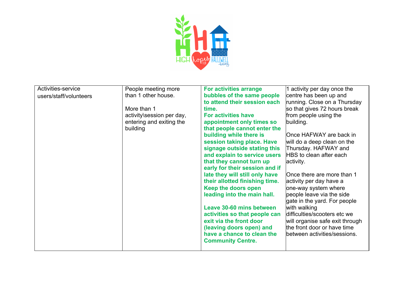

| Activities-service     | People meeting more       | <b>For activities arrange</b>  | 1 activity per day once the     |
|------------------------|---------------------------|--------------------------------|---------------------------------|
| users/staff/volunteers | than 1 other house.       | bubbles of the same people     | centre has been up and          |
|                        |                           | to attend their session each   | running. Close on a Thursday    |
|                        | More than 1               | time.                          | so that gives 72 hours break    |
|                        | activity\session per day, | <b>For activities have</b>     | from people using the           |
|                        | entering and exiting the  | appointment only times so      | building.                       |
|                        | building                  | that people cannot enter the   |                                 |
|                        |                           | building while there is        | Once HAFWAY are back in         |
|                        |                           | session taking place. Have     | will do a deep clean on the     |
|                        |                           | signage outside stating this   | Thursday. HAFWAY and            |
|                        |                           | and explain to service users   | HBS to clean after each         |
|                        |                           | that they cannot turn up       | activity.                       |
|                        |                           | early for their session and if |                                 |
|                        |                           | late they will still only have | Once there are more than 1      |
|                        |                           | their allotted finishing time. | activity per day have a         |
|                        |                           | Keep the doors open            | one-way system where            |
|                        |                           | leading into the main hall.    | people leave via the side       |
|                        |                           |                                | gate in the yard. For people    |
|                        |                           | Leave 30-60 mins between       | with walking                    |
|                        |                           | activities so that people can  | difficulties/scooters etc we    |
|                        |                           | exit via the front door        | will organise safe exit through |
|                        |                           | (leaving doors open) and       | the front door or have time     |
|                        |                           | have a chance to clean the     | between activities/sessions.    |
|                        |                           | <b>Community Centre.</b>       |                                 |
|                        |                           |                                |                                 |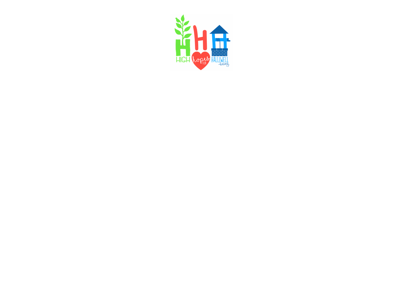